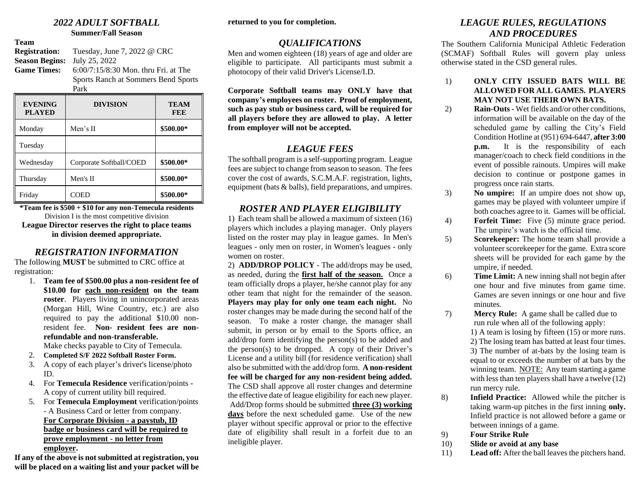# *2022 ADULT SOFTBALL*

**Summer/Fall Season**

**Team Registration:** Tuesday, June 7, 2022 @ CRC **Season Begins:** July 25, 2022 **Game Times:** 6:00/7:15/8:30 Mon. thru Fri. at The Sports Ranch at Sommers Bend Sports Park

| <b>EVENING</b><br><b>PLAYED</b> | <b>DIVISION</b>         | <b>TEAM</b><br><b>FEE</b> |
|---------------------------------|-------------------------|---------------------------|
| Monday                          | Men's II                | \$500.00*                 |
| Tuesday                         |                         |                           |
| Wednesday                       | Corporate Softball/COED | \$500.00*                 |
| Thursday                        | Men's II                | \$500.00*                 |
| Friday                          | COED                    | \$500.00*                 |

**\*Team fee is \$500 + \$10 for any non-Temecula residents** Division I is the most competitive division

**League Director reserves the right to place teams in division deemed appropriate.**

## *REGISTRATION INFORMATION*

The following **MUST** be submitted to CRC office at registration:

1. **Team fee of \$500.00 plus a non-resident fee of \$10.00 for each non-resident on the team roster**. Players living in unincorporated areas (Morgan Hill, Wine Country, etc.) are also required to pay the additional \$10.00 nonresident fee. **Non- resident fees are nonrefundable and non-transferable.**

Make checks payable to City of Temecula.

- 2. **Completed S/F 2022 Softball Roster Form.**
- 3. A copy of each player's driver's license/photo ID.
- 4. For **Temecula Residence** verification/points A copy of current utility bill required.
- 5. For **Temecula Employment** verification/points - A Business Card or letter from company. **For Corporate Division - a paystub, ID badge or business card will be required to prove employment - no letter from employer.**

**If any of the above is not submitted at registration, you will be placed on a waiting list and your packet will be**  **returned to you for completion.**

# *QUALIFICATIONS*

Men and women eighteen (18) years of age and older are eligible to participate. All participants must submit a photocopy of their valid Driver's License/I.D.

**Corporate Softball teams may ONLY have that company's employees on roster. Proof of employment, such as pay stub or business card, will be required for all players before they are allowed to play. A letter from employer will not be accepted.**

# *LEAGUE FEES*

The softball program is a self-supporting program. League fees are subject to change from season to season. The fees cover the cost of awards, S.C.M.A.F. registration, lights, equipment (bats & balls), field preparations, and umpires.

# *ROSTER AND PLAYER ELIGIBILITY*

1) Each team shall be allowed a maximum of sixteen (16) players which includes a playing manager. Only players listed on the roster may play in league games. In Men's leagues - only men on roster, in Women's leagues - only women on roster.

2) **ADD/DROP POLICY** - The add/drops may be used, as needed, during the **first half of the season.** Once a team officially drops a player, he/she cannot play for any other team that night for the remainder of the season. **Players may play for only one team each night.** No roster changes may be made during the second half of the season. To make a roster change, the manager shall submit, in person or by email to the Sports office, an add/drop form identifying the person(s) to be added and the person(s) to be dropped. A copy of their Driver's License and a utility bill (for residence verification) shall also be submitted with the add/drop form. **A non-resident fee will be charged for any non-resident being added.** The CSD shall approve all roster changes and determine the effective date of league eligibility for each new player. Add/Drop forms should be submitted **three (3) working days** before the next scheduled game. Use of the new player without specific approval or prior to the effective date of eligibility shall result in a forfeit due to an ineligible player.

## *LEAGUE RULES, REGULATIONS AND PROCEDURES*

The Southern California Municipal Athletic Federation (SCMAF) Softball Rules will govern play unless otherwise stated in the CSD general rules.

- 1) **ONLY CITY ISSUED BATS WILL BE ALLOWED FOR ALL GAMES. PLAYERS MAY NOT USE THEIR OWN BATS.**
- 2) **Rain-Outs -** Wet fields and/or other conditions, information will be available on the day of the scheduled game by calling the City's Field Condition Hotline at (951) 694-6447, **after 3:00 p.m.** It is the responsibility of each manager/coach to check field conditions in the event of possible rainouts. Umpires will make decision to continue or postpone games in progress once rain starts.
- 3) **No umpire:** If an umpire does not show up, games may be played with volunteer umpire if both coaches agree to it. Games will be official.
- 4) **Forfeit Time:** Five (5) minute grace period. The umpire's watch is the official time.
- 5) **Scorekeeper:** The home team shall provide a volunteer scorekeeper for the game. Extra score sheets will be provided for each game by the umpire, if needed.
- 6) **Time Limit:** A new inning shall not begin after one hour and five minutes from game time. Games are seven innings or one hour and five minutes.
- 7) **Mercy Rule:** A game shall be called due to run rule when all of the following apply: 1) A team is losing by fifteen (15) or more runs. 2) The losing team has batted at least four times. 3) The number of at-bats by the losing team is equal to or exceeds the number of at bats by the winning team. NOTE: Any team starting a game with less than ten players shall have a twelve (12) run mercy rule.
- 8) **Infield Practice:** Allowed while the pitcher is taking warm-up pitches in the first inning **only.** Infield practice is not allowed before a game or between innings of a game.
- 9) **Four Strike Rule**
- 10) **Slide or avoid at any base**
- 11) **Lead off:** After the ball leaves the pitchers hand.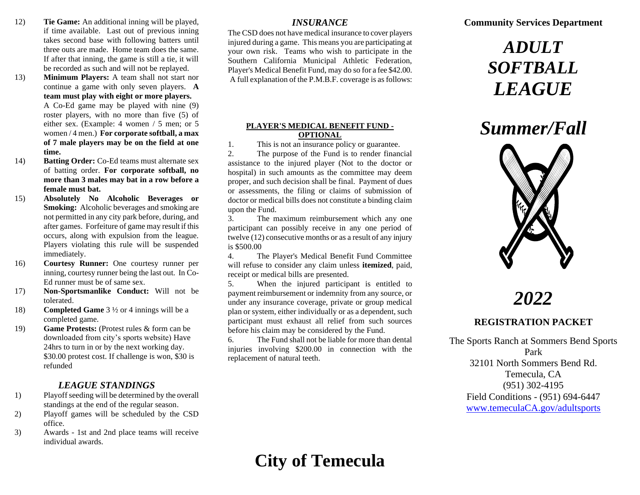- 12) **Tie Game:** An additional inning will be played, if time available. Last out of previous inning takes second base with following batters until three outs are made. Home team does the same. If after that inning, the game is still a tie, it will be recorded as such and will not be replayed.
- 13) **Minimum Players:** A team shall not start nor continue a game with only seven players. **A team must play with eight or more players.** A Co-Ed game may be played with nine (9) roster players, with no more than five (5) of either sex. (Example: 4 women / 5 men; or 5 women / 4 men.) **For corporate softball, a max of 7 male players may be on the field at one time.**
- 14) **Batting Order:** Co-Ed teams must alternate sex of batting order. **For corporate softball, no more than 3 males may bat in a row before a female must bat.**
- 15) **Absolutely No Alcoholic Beverages or Smoking:** Alcoholic beverages and smoking are not permitted in any city park before, during, and after games. Forfeiture of game may result if this occurs, along with expulsion from the league. Players violating this rule will be suspended immediately.
- 16) **Courtesy Runner:** One courtesy runner per inning, courtesy runner being the last out. In Co-Ed runner must be of same sex.
- 17) **Non-Sportsmanlike Conduct:** Will not be tolerated.
- 18) **Completed Game** 3 ½ or 4 innings will be a completed game.
- 19) **Game Protests:** (Protest rules & form can be downloaded from city's sports website) Have 24hrs to turn in or by the next working day. \$30.00 protest cost. If challenge is won, \$30 is refunded

### *LEAGUE STANDINGS*

- 1) Playoff seeding will be determined by the overall standings at the end of the regular season.
- 2) Playoff games will be scheduled by the CSD office.
- 3) Awards 1st and 2nd place teams will receive individual awards.

### *INSURANCE*

The CSD does not have medical insurance to cover players injured during a game. This means you are participating at your own risk. Teams who wish to participate in the Southern California Municipal Athletic Federation, Player's Medical Benefit Fund, may do so for a fee \$42.00. A full explanation of the P.M.B.F. coverage is as follows:

#### **PLAYER'S MEDICAL BENEFIT FUND - OPTIONAL**

1. This is not an insurance policy or guarantee.

2. The purpose of the Fund is to render financial assistance to the injured player (Not to the doctor or hospital) in such amounts as the committee may deem proper, and such decision shall be final. Payment of dues or assessments, the filing or claims of submission of doctor or medical bills does not constitute a binding claim upon the Fund.

3. The maximum reimbursement which any one participant can possibly receive in any one period of twelve (12) consecutive months or as a result of any injury is \$500.00

4. The Player's Medical Benefit Fund Committee will refuse to consider any claim unless **itemized**, paid, receipt or medical bills are presented.

5. When the injured participant is entitled to payment reimbursement or indemnity from any source, or under any insurance coverage, private or group medical plan or system, either individually or as a dependent, such participant must exhaust all relief from such sources before his claim may be considered by the Fund.

6. The Fund shall not be liable for more than dental injuries involving \$200.00 in connection with the replacement of natural teeth.

## **Community Services Department**

# *ADULT SOFTBALL LEAGUE*

# *Summer/Fall*



# *2022*

# **REGISTRATION PACKET**

The Sports Ranch at Sommers Bend Sports Park 32101 North Sommers Bend Rd. Temecula, CA (951) 302-4195 Field Conditions - (951) 694-6447 [www.temeculaCA.gov/adultsports](http://www.temeculaca.gov/adultsports)

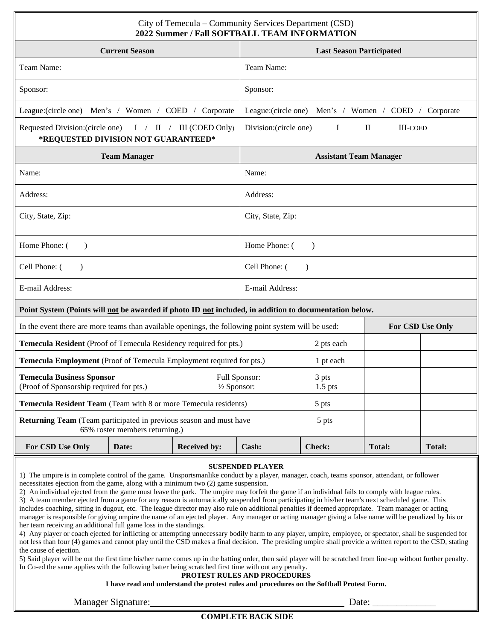| City of Temecula – Community Services Department (CSD)<br>2022 Summer / Fall SOFTBALL TEAM INFORMATION                                                                                                                                                                                                                                                                                                                                                                                                                                                                                                                                                                                                                                                                                                                                                                                                                                                                                                                                                                                                                                                                                                                                                                                                                                                                                                                                                                                                                                                                                                                                                                                                            |                                  |                     |                               |                                                      |               |                         |
|-------------------------------------------------------------------------------------------------------------------------------------------------------------------------------------------------------------------------------------------------------------------------------------------------------------------------------------------------------------------------------------------------------------------------------------------------------------------------------------------------------------------------------------------------------------------------------------------------------------------------------------------------------------------------------------------------------------------------------------------------------------------------------------------------------------------------------------------------------------------------------------------------------------------------------------------------------------------------------------------------------------------------------------------------------------------------------------------------------------------------------------------------------------------------------------------------------------------------------------------------------------------------------------------------------------------------------------------------------------------------------------------------------------------------------------------------------------------------------------------------------------------------------------------------------------------------------------------------------------------------------------------------------------------------------------------------------------------|----------------------------------|---------------------|-------------------------------|------------------------------------------------------|---------------|-------------------------|
|                                                                                                                                                                                                                                                                                                                                                                                                                                                                                                                                                                                                                                                                                                                                                                                                                                                                                                                                                                                                                                                                                                                                                                                                                                                                                                                                                                                                                                                                                                                                                                                                                                                                                                                   | <b>Current Season</b>            |                     |                               | <b>Last Season Participated</b>                      |               |                         |
| Team Name:                                                                                                                                                                                                                                                                                                                                                                                                                                                                                                                                                                                                                                                                                                                                                                                                                                                                                                                                                                                                                                                                                                                                                                                                                                                                                                                                                                                                                                                                                                                                                                                                                                                                                                        |                                  | Team Name:          |                               |                                                      |               |                         |
| Sponsor:                                                                                                                                                                                                                                                                                                                                                                                                                                                                                                                                                                                                                                                                                                                                                                                                                                                                                                                                                                                                                                                                                                                                                                                                                                                                                                                                                                                                                                                                                                                                                                                                                                                                                                          |                                  |                     | Sponsor:                      |                                                      |               |                         |
| League: (circle one)                                                                                                                                                                                                                                                                                                                                                                                                                                                                                                                                                                                                                                                                                                                                                                                                                                                                                                                                                                                                                                                                                                                                                                                                                                                                                                                                                                                                                                                                                                                                                                                                                                                                                              | Men's / Women / COED / Corporate |                     |                               | League:(circle one) Men's / Women / COED / Corporate |               |                         |
| Requested Division: (circle one) $I / II / III$ (COED Only)<br>*REQUESTED DIVISION NOT GUARANTEED*                                                                                                                                                                                                                                                                                                                                                                                                                                                                                                                                                                                                                                                                                                                                                                                                                                                                                                                                                                                                                                                                                                                                                                                                                                                                                                                                                                                                                                                                                                                                                                                                                |                                  |                     | Division: (circle one)        | $\bf{I}$                                             | $\rm{II}$     | <b>III-COED</b>         |
|                                                                                                                                                                                                                                                                                                                                                                                                                                                                                                                                                                                                                                                                                                                                                                                                                                                                                                                                                                                                                                                                                                                                                                                                                                                                                                                                                                                                                                                                                                                                                                                                                                                                                                                   | <b>Team Manager</b>              |                     | <b>Assistant Team Manager</b> |                                                      |               |                         |
| Name:                                                                                                                                                                                                                                                                                                                                                                                                                                                                                                                                                                                                                                                                                                                                                                                                                                                                                                                                                                                                                                                                                                                                                                                                                                                                                                                                                                                                                                                                                                                                                                                                                                                                                                             |                                  |                     | Name:                         |                                                      |               |                         |
| Address:                                                                                                                                                                                                                                                                                                                                                                                                                                                                                                                                                                                                                                                                                                                                                                                                                                                                                                                                                                                                                                                                                                                                                                                                                                                                                                                                                                                                                                                                                                                                                                                                                                                                                                          |                                  |                     | Address:                      |                                                      |               |                         |
| City, State, Zip:                                                                                                                                                                                                                                                                                                                                                                                                                                                                                                                                                                                                                                                                                                                                                                                                                                                                                                                                                                                                                                                                                                                                                                                                                                                                                                                                                                                                                                                                                                                                                                                                                                                                                                 |                                  | City, State, Zip:   |                               |                                                      |               |                         |
| Home Phone: (<br>$\lambda$                                                                                                                                                                                                                                                                                                                                                                                                                                                                                                                                                                                                                                                                                                                                                                                                                                                                                                                                                                                                                                                                                                                                                                                                                                                                                                                                                                                                                                                                                                                                                                                                                                                                                        |                                  |                     |                               | Home Phone: (<br>$\lambda$                           |               |                         |
| Cell Phone: (                                                                                                                                                                                                                                                                                                                                                                                                                                                                                                                                                                                                                                                                                                                                                                                                                                                                                                                                                                                                                                                                                                                                                                                                                                                                                                                                                                                                                                                                                                                                                                                                                                                                                                     |                                  |                     | Cell Phone: (                 |                                                      |               |                         |
| E-mail Address:                                                                                                                                                                                                                                                                                                                                                                                                                                                                                                                                                                                                                                                                                                                                                                                                                                                                                                                                                                                                                                                                                                                                                                                                                                                                                                                                                                                                                                                                                                                                                                                                                                                                                                   |                                  |                     | E-mail Address:               |                                                      |               |                         |
| Point System (Points will not be awarded if photo ID not included, in addition to documentation below.                                                                                                                                                                                                                                                                                                                                                                                                                                                                                                                                                                                                                                                                                                                                                                                                                                                                                                                                                                                                                                                                                                                                                                                                                                                                                                                                                                                                                                                                                                                                                                                                            |                                  |                     |                               |                                                      |               |                         |
| In the event there are more teams than available openings, the following point system will be used:                                                                                                                                                                                                                                                                                                                                                                                                                                                                                                                                                                                                                                                                                                                                                                                                                                                                                                                                                                                                                                                                                                                                                                                                                                                                                                                                                                                                                                                                                                                                                                                                               |                                  |                     |                               |                                                      |               | <b>For CSD Use Only</b> |
| Temecula Resident (Proof of Temecula Residency required for pts.)                                                                                                                                                                                                                                                                                                                                                                                                                                                                                                                                                                                                                                                                                                                                                                                                                                                                                                                                                                                                                                                                                                                                                                                                                                                                                                                                                                                                                                                                                                                                                                                                                                                 |                                  |                     | 2 pts each                    |                                                      |               |                         |
| Temecula Employment (Proof of Temecula Employment required for pts.)                                                                                                                                                                                                                                                                                                                                                                                                                                                                                                                                                                                                                                                                                                                                                                                                                                                                                                                                                                                                                                                                                                                                                                                                                                                                                                                                                                                                                                                                                                                                                                                                                                              |                                  |                     |                               | 1 pt each                                            |               |                         |
| <b>Temecula Business Sponsor</b><br>Full Sponsor:<br>(Proof of Sponsorship required for pts.)<br>$\frac{1}{2}$ Sponsor:                                                                                                                                                                                                                                                                                                                                                                                                                                                                                                                                                                                                                                                                                                                                                                                                                                                                                                                                                                                                                                                                                                                                                                                                                                                                                                                                                                                                                                                                                                                                                                                           |                                  |                     | 3 pts<br>$1.5$ pts            |                                                      |               |                         |
| <b>Temecula Resident Team</b> (Team with 8 or more Temecula residents)                                                                                                                                                                                                                                                                                                                                                                                                                                                                                                                                                                                                                                                                                                                                                                                                                                                                                                                                                                                                                                                                                                                                                                                                                                                                                                                                                                                                                                                                                                                                                                                                                                            |                                  |                     |                               | 5 pts                                                |               |                         |
| <b>Returning Team</b> (Team participated in previous season and must have<br>65% roster members returning.)                                                                                                                                                                                                                                                                                                                                                                                                                                                                                                                                                                                                                                                                                                                                                                                                                                                                                                                                                                                                                                                                                                                                                                                                                                                                                                                                                                                                                                                                                                                                                                                                       |                                  |                     | 5 pts                         |                                                      |               |                         |
| <b>For CSD Use Only</b>                                                                                                                                                                                                                                                                                                                                                                                                                                                                                                                                                                                                                                                                                                                                                                                                                                                                                                                                                                                                                                                                                                                                                                                                                                                                                                                                                                                                                                                                                                                                                                                                                                                                                           | Date:                            | <b>Received by:</b> | Cash:                         | <b>Check:</b>                                        | <b>Total:</b> | <b>Total:</b>           |
| <b>SUSPENDED PLAYER</b><br>1) The umpire is in complete control of the game. Unsportsmanlike conduct by a player, manager, coach, teams sponsor, attendant, or follower<br>necessitates ejection from the game, along with a minimum two (2) game suspension.<br>2) An individual ejected from the game must leave the park. The umpire may forfeit the game if an individual fails to comply with league rules.<br>3) A team member ejected from a game for any reason is automatically suspended from participating in his/her team's next scheduled game. This<br>includes coaching, sitting in dugout, etc. The league director may also rule on additional penalties if deemed appropriate. Team manager or acting<br>manager is responsible for giving umpire the name of an ejected player. Any manager or acting manager giving a false name will be penalized by his or<br>her team receiving an additional full game loss in the standings.<br>4) Any player or coach ejected for inflicting or attempting unnecessary bodily harm to any player, umpire, employee, or spectator, shall be suspended for<br>not less than four (4) games and cannot play until the CSD makes a final decision. The presiding umpire shall provide a written report to the CSD, stating<br>the cause of ejection.<br>5) Said player will be out the first time his/her name comes up in the batting order, then said player will be scratched from line-up without further penalty.<br>In Co-ed the same applies with the following batter being scratched first time with out any penalty.<br>PROTEST RULES AND PROCEDURES<br>I have read and understand the protest rules and procedures on the Softball Protest Form. |                                  |                     |                               |                                                      |               |                         |

| Manager,<br>Signature:<br>. | Jate |
|-----------------------------|------|
|                             |      |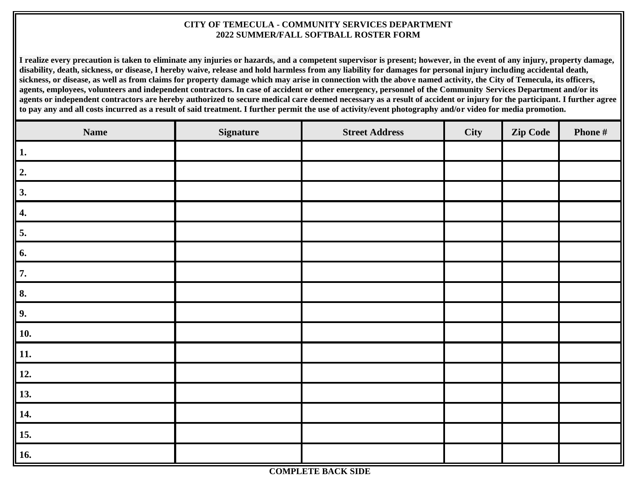### **CITY OF TEMECULA - COMMUNITY SERVICES DEPARTMENT 2022 SUMMER/FALL SOFTBALL ROSTER FORM**

**I realize every precaution is taken to eliminate any injuries or hazards, and a competent supervisor is present; however, in the event of any injury, property damage, disability, death, sickness, or disease, I hereby waive, release and hold harmless from any liability for damages for personal injury including accidental death, sickness, or disease, as well as from claims for property damage which may arise in connection with the above named activity, the City of Temecula, its officers, agents, employees, volunteers and independent contractors. In case of accident or other emergency, personnel of the Community Services Department and/or its**  agents or independent contractors are hereby authorized to secure medical care deemed necessary as a result of accident or injury for the participant. I further agree **to pay any and all costs incurred as a result of said treatment. I further permit the use of activity/event photography and/or video for media promotion.**

| <b>Name</b>      | <b>Signature</b> | <b>Street Address</b> | City | Zip Code | Phone # |
|------------------|------------------|-----------------------|------|----------|---------|
| 1.               |                  |                       |      |          |         |
| $\overline{2}$ . |                  |                       |      |          |         |
| 3.               |                  |                       |      |          |         |
| 4.               |                  |                       |      |          |         |
| 5.               |                  |                       |      |          |         |
| 6.               |                  |                       |      |          |         |
| 7.               |                  |                       |      |          |         |
| 8.               |                  |                       |      |          |         |
| 9.               |                  |                       |      |          |         |
| <b>10.</b>       |                  |                       |      |          |         |
| <b>11.</b>       |                  |                       |      |          |         |
| 12.              |                  |                       |      |          |         |
| 13.              |                  |                       |      |          |         |
| 14.              |                  |                       |      |          |         |
| 15.              |                  |                       |      |          |         |
| 16.              |                  |                       |      |          |         |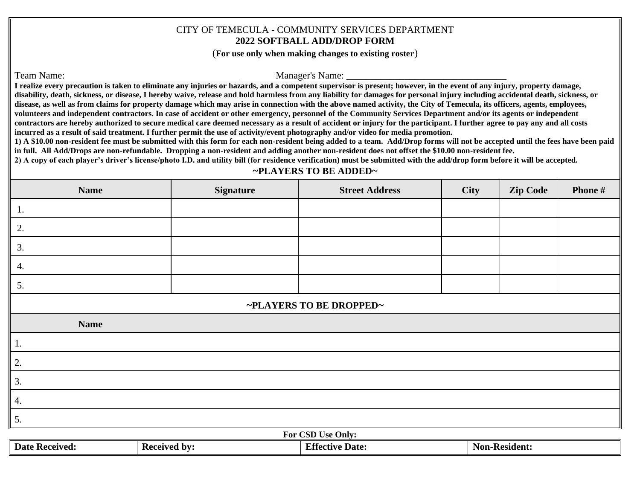### CITY OF TEMECULA - COMMUNITY SERVICES DEPARTMENT **2022 SOFTBALL ADD/DROP FORM**

(**For use only when making changes to existing roster**)

Team Name: Manager's Name:

**I realize every precaution is taken to eliminate any injuries or hazards, and a competent supervisor is present; however, in the event of any injury, property damage, disability, death, sickness, or disease, I hereby waive, release and hold harmless from any liability for damages for personal injury including accidental death, sickness, or disease, as well as from claims for property damage which may arise in connection with the above named activity, the City of Temecula, its officers, agents, employees, volunteers and independent contractors. In case of accident or other emergency, personnel of the Community Services Department and/or its agents or independent contractors are hereby authorized to secure medical care deemed necessary as a result of accident or injury for the participant. I further agree to pay any and all costs incurred as a result of said treatment. I further permit the use of activity/event photography and/or video for media promotion.**

**1) A \$10.00 non-resident fee must be submitted with this form for each non-resident being added to a team. Add/Drop forms will not be accepted until the fees have been paid in full. All Add/Drops are non-refundable. Dropping a non-resident and adding another non-resident does not offset the \$10.00 non-resident fee.**

**2) A copy of each player's driver's license/photo I.D. and utility bill (for residence verification) must be submitted with the add/drop form before it will be accepted.**

### **~PLAYERS TO BE ADDED~**

| <b>Name</b>             | <b>Signature</b> | <b>Street Address</b> | City | <b>Zip Code</b> | Phone # |
|-------------------------|------------------|-----------------------|------|-----------------|---------|
| 1.                      |                  |                       |      |                 |         |
| 2.                      |                  |                       |      |                 |         |
| 3.                      |                  |                       |      |                 |         |
| 4.                      |                  |                       |      |                 |         |
| 5.                      |                  |                       |      |                 |         |
| ~PLAYERS TO BE DROPPED~ |                  |                       |      |                 |         |
| <b>Name</b>             |                  |                       |      |                 |         |
| $\parallel$ 1.          |                  |                       |      |                 |         |
| 2.                      |                  |                       |      |                 |         |
| $\overline{3}$ .        |                  |                       |      |                 |         |
| $\vert 4.$              |                  |                       |      |                 |         |
| $\overline{5}$ .        |                  |                       |      |                 |         |
| For CSD Use Only:       |                  |                       |      |                 |         |

| FOR USD USE UNIV:          |             |                           |                 |  |
|----------------------------|-------------|---------------------------|-----------------|--|
| <b>Date</b><br>- Received: | Received by | <b>Effective</b><br>Date: | - Non-Resident. |  |